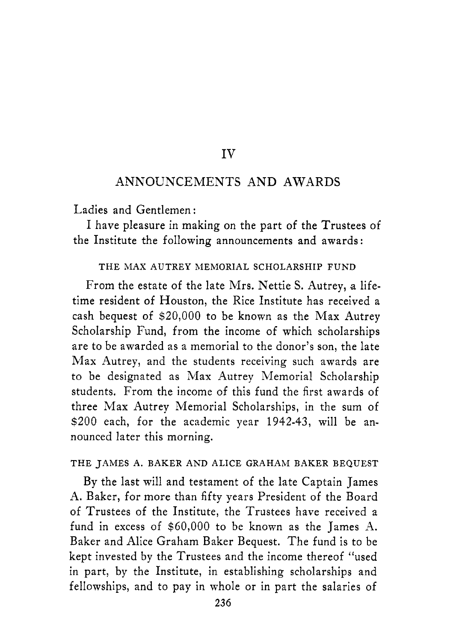#### IV

### ANNOUNCEMENTS AND AWARDS

Ladies and Gentlemen :

the Institute the following announcements and awards : I have pleasure in making on the part of the Trustees of

#### THE MAX AUTREY MEMORIAL SCHOLARSHIP FUND

From the estate of the late Mrs. Nettie S. Autrey, a lifetime resident of Houston, the Rice Institute has received a cash bequest of \$20,000 to be known as the Max Autrey Scholarship Fund, from the income of which scholarships are to be awarded as a memorial to the donor's son, the late Max Autrey, and the students receiving such awards are to be designated as Max Autrey Memorial Scholarship students. From the income of this fund the first awards of three Max Autrey Memorial Scholarships, in the sum of \$200 each, for the academic year 1942-43, will be announced later this morning.

#### THE JAMES A. BAKER AND ALICE GRAHAM BAKER BEQUEST

By the last will and testament of the late Captain James A. Baker, for more than fifty years President of the Board of Trustees of the Institute, the Trustees have received a fund in excess of \$60,000 to be known as the James A. Baker and Alice Graham Baker Bequest. The fund is to be kept invested by the Trustees and the income thereof "used in part, by the Institute, in establishing scholarships and fellowships, and to pay in whole or in part the salaries of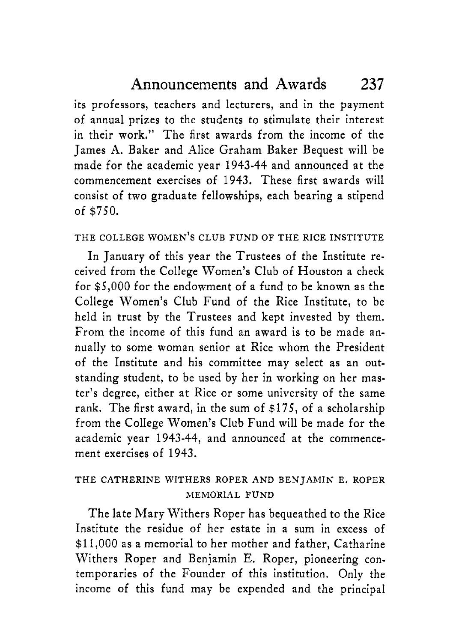its professors, teachers and lecturers, and in the payment of annual prizes to the students to stimulate their interest in their work." The first awards from the income of the James A. Baker and Alice Graham Baker Bequest will be made for the academic year 1943-44 and announced at the commencement exercises of 1943. These first awards will consist of two graduate fellowships, each bearing a stipend of *\$750.* 

### THE COLLEGE WOMEN'S CLUB FUND OF THE RICE INSTITUTE

In January of this year the Trustees of the Institute received from the College Women's Club of Houston a check for \$5,000 for the endowment of a fund to be known as the College Women's Club Fund of the Rice Institute, to be held in trust by the Trustees and kept invested by them. From the income of this fund an award is to be made annually to some woman senior at Rice whom the President of the Institute and his committee may select as an outstanding student, to be used by her in working on her master's degree, either at Rice or some university of the same rank. The first award, in the sum of \$175, of a scholarship from the College Women's Club Fund will be made for the academic year 1943-44, and announced at the commencement exercises of 1943.

## THE CATHERINE WITHERS ROPER AND BENJAMIN E. ROPER MEMORIAL FUND

The late Mary Withers Roper has bequeathed to the Rice Institute the residue of her estate in a sum in excess of \$11,000 as a memorial to her mother and father, Catharine Withers Roper and Benjamin E. Roper, pioneering contemporaries of the Founder of this institution. Only the income of this fund may be expended and the principal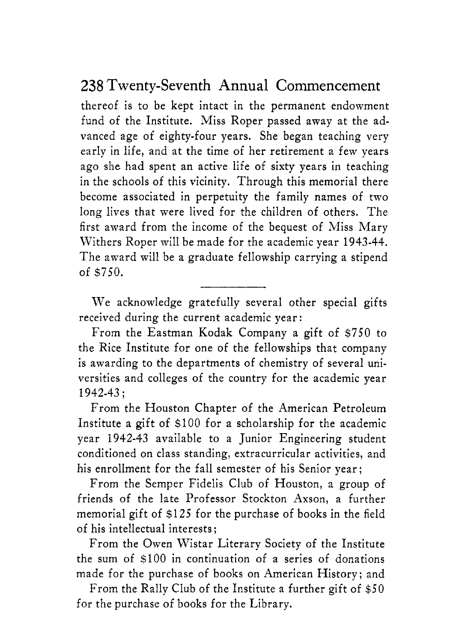# 238 Twenty-Seventh Annual Commencement

thereof is to be kept intact in the permanent endowment fund of the Institute. Miss Roper passed away at the advanced age of eighty-four years. She began teaching very early in life, and at the time of her retirement a few years ago she had spent an active life of sixty years in teaching in the schools of this vicinity. Through this memorial there become associated in perpetuity the family names of two long lives that were lived for the children of others. The first award from the income of the bequest of Miss Mary Withers Roper mill be made for the academic year 1943-44. The award will be a graduate fellowship carrying a stipend of *\$750.* 

We acknowledge gratefully several other special gifts received during the current academic year:

From the Eastman Kodak Company a gift of *\$750* to the Rice Institute for one of the fellowships that company is awarding to the departments of chemistry of several universities and colleges of the country for the academic year 1942-43 ;

From the Houston Chapter of the American Petroleum Institute a gift of \$100 for a scholarship for the academic year 1942-43 available to a Junior Engineering student conditioned on class standing, extracurricular activities, and his enrollment for the fall semester of his Senior year;

From the Semper Fidelis Club of Houston, a group of friends of the late Professor Stockton Axson, a further memorial gift of \$125 for the purchase of books in the field of his intellectual interests ;

From the Owen Wistar Literary Society of the Institute the sum of \$100 in continuation of a series of donations made for the purchase of books on American History; and

From the Rally Club of the Institute a further gift of *\$50*  for the purchase of books for the Library.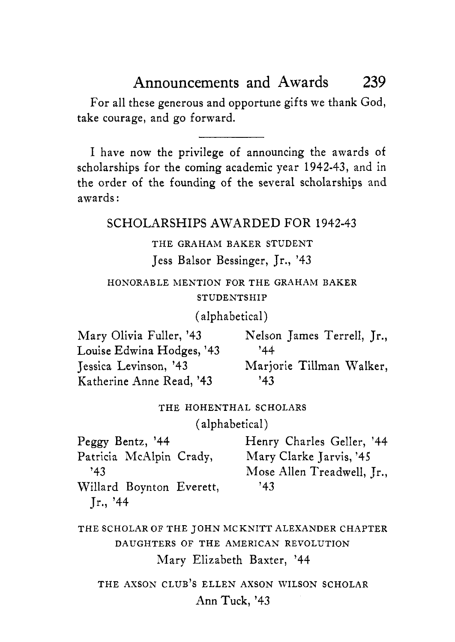# Announcements and Awards 239

For all these generous and opportune gifts we thank God, take courage, and go forward.

I have now the privilege of announcing the awards of scholarships for the coming academic year **1942-43,** and in the order of the founding of the several scholarships and awards :

SCHOLARSHIPS AWARDED FOR **1942-43** 

#### THE GRAHAM BAKER STUDENT

Jess Balsor Bessinger, Jr., **'43** 

### HONORABLE MENTION FOR THE GRAHAM BAKER STUDENTSHIP

#### (alphabetical)

Mary Olivia Fuller, '43 Louise Edwina Hodges, **'43 '44**  Jessica Levinson, **'43**  Katherine Anne Read, **'43 '43**  Nelson James Terrell, Jr., Marjorie Tillman Walker,

#### THE HOHENTHAL SCHOLARS

(alphabetical)

| Peggy Bentz, '44         | Henry Charles Geller, '44  |
|--------------------------|----------------------------|
| Patricia McAlpin Crady,  | Mary Clarke Jarvis, '45    |
| 143                      | Mose Allen Treadwell, Jr., |
| Willard Boynton Everett, | 143                        |
| Jr., '44                 |                            |

THE SCHOLAR OF THE JOHN MCKNITT ALEXANDER CHAPTER DAUGHTERS OF THE AMERICAN REVOLUTION Mary Elizabeth Baxter, **'44** 

THE AXSON CLUB'S ELLEN AXSON WILSON SCHOLAR Ann Tuck, **'43**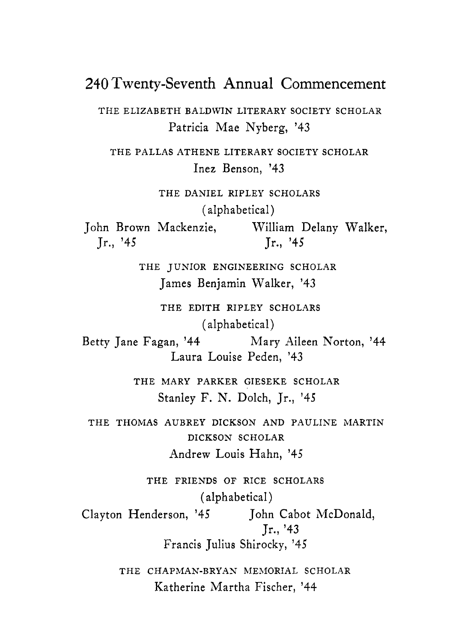## **240** Twenty-Seventh Annual Commencement

THE ELIZABETH BALDWIN LITERARY SOCIETY SCHOLAR Patricia Mae Nyberg, **'43** 

THE PALLAS ATHENE LITERARY SOCIETY SCHOLAR Inez Benson, **'43** 

THE DANIEL RIPLEY SCHOLARS (alphabetical) John Brown Mackenzie, William Delany Walker, Jr., **'45** Jr., **'45** 

> THE JUNIOR ENGINEERING SCHOLAR James Benjamin Walker, **'43**

> > THE EDITH RIPLEY SCHOLARS (alphabetical)

Laura Louise Peden, **'43**  Betty Jane Fagan, **'44** Mary Aileen Norton, **'44** 

> THE MARY PARKER GIESEKE SCHOLAR Stanley F. N. Dolch, Jr., **'45**

THE THOMAS AUBREY DICKSON AND PAULINE MARTIN DICKSON SCHOLAR Andrew Louis Hahn, **'45** 

THE FRIENDS OF RICE SCHOLARS (alphabetical) Clayton Henderson, **'45** John Cabot McDonald, Jr., **'43**  Francis Julius Shirocky, **'45** 

> THE CHAPMAN-BRYAN MEMORIAL SCHOLAR Katherine Martha Fischer, **'44**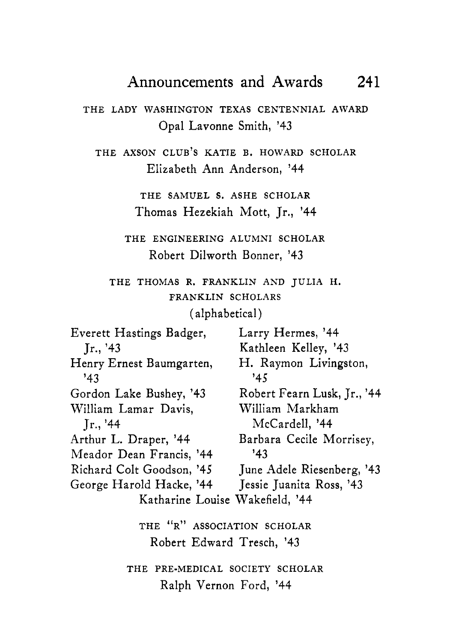# Announcements and Awards 241

THE LADY WASHINGTON TEXAS CENTENNIAL AWARD Opal Lavonne Smith, **'43** 

THE AXSON CLUB'S KATIE B. HOWARD SCHOLAR Elizabeth Ann Anderson, **'44** 

> THE SAMUEL **S.** ASHE SCHOLAR Thomas Hezekiah Mott, Jr., **'44**

THE ENGINEERING ALUMNI SCHOLAR Robert Dilworth Bonner, **'43** 

THE THOMAS R. FRANKLIN AND JULIA H. FRANKLIN SCHOLARS

(alphabetical)

| Everett Hastings Badger,                    | Larry Hermes, '44<br>Kathleen Kelley, '43 |  |
|---------------------------------------------|-------------------------------------------|--|
| Jr., '43<br>Henry Ernest Baumgarten,<br>143 | H. Raymon Livingston,<br>'45              |  |
| Gordon Lake Bushey, '43                     | Robert Fearn Lusk, Jr., '44               |  |
| William Lamar Davis,                        | William Markham                           |  |
| Jr., '44                                    | McCardell, '44                            |  |
| Arthur L. Draper, '44                       | Barbara Cecile Morrisey,                  |  |
| Meador Dean Francis, '44                    | 143                                       |  |
| Richard Colt Goodson, '45                   | June Adele Riesenberg, '43                |  |
| George Harold Hacke, '44                    | Jessie Juanita Ross, '43                  |  |
| Katharine Louise Wakefield, '44             |                                           |  |
| THE "R" ASSOCIATION SCHOLAR                 |                                           |  |
| Robert Edward Tresch, '43                   |                                           |  |
| THE PRE-MEDICAL SOCIETY SCHOLAR             |                                           |  |
| Ralph Vernon Ford, '44                      |                                           |  |